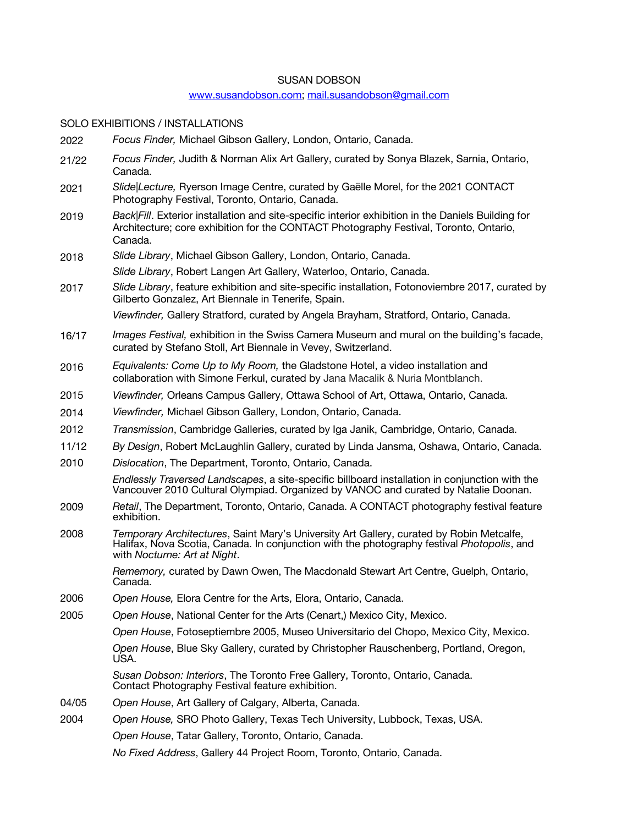# SUSAN DOBSON

# www.susandobson.com; mail.susandobson@gmail.com

SOLO EXHIBITIONS / INSTALLATIONS

| 2022  | Focus Finder, Michael Gibson Gallery, London, Ontario, Canada.                                                                                                                                                         |
|-------|------------------------------------------------------------------------------------------------------------------------------------------------------------------------------------------------------------------------|
| 21/22 | Focus Finder, Judith & Norman Alix Art Gallery, curated by Sonya Blazek, Sarnia, Ontario,<br>Canada.                                                                                                                   |
| 2021  | Slide Lecture, Ryerson Image Centre, curated by Gaëlle Morel, for the 2021 CONTACT<br>Photography Festival, Toronto, Ontario, Canada.                                                                                  |
| 2019  | Back Fill. Exterior installation and site-specific interior exhibition in the Daniels Building for<br>Architecture; core exhibition for the CONTACT Photography Festival, Toronto, Ontario,<br>Canada.                 |
| 2018  | Slide Library, Michael Gibson Gallery, London, Ontario, Canada.                                                                                                                                                        |
|       | Slide Library, Robert Langen Art Gallery, Waterloo, Ontario, Canada.                                                                                                                                                   |
| 2017  | Slide Library, feature exhibition and site-specific installation, Fotonoviembre 2017, curated by<br>Gilberto Gonzalez, Art Biennale in Tenerife, Spain.                                                                |
|       | Viewfinder, Gallery Stratford, curated by Angela Brayham, Stratford, Ontario, Canada.                                                                                                                                  |
| 16/17 | Images Festival, exhibition in the Swiss Camera Museum and mural on the building's facade,<br>curated by Stefano Stoll, Art Biennale in Vevey, Switzerland.                                                            |
| 2016  | Equivalents: Come Up to My Room, the Gladstone Hotel, a video installation and<br>collaboration with Simone Ferkul, curated by Jana Macalik & Nuria Montblanch.                                                        |
| 2015  | Viewfinder, Orleans Campus Gallery, Ottawa School of Art, Ottawa, Ontario, Canada.                                                                                                                                     |
| 2014  | Viewfinder, Michael Gibson Gallery, London, Ontario, Canada.                                                                                                                                                           |
| 2012  | Transmission, Cambridge Galleries, curated by Iga Janik, Cambridge, Ontario, Canada.                                                                                                                                   |
| 11/12 | By Design, Robert McLaughlin Gallery, curated by Linda Jansma, Oshawa, Ontario, Canada.                                                                                                                                |
| 2010  | Dislocation, The Department, Toronto, Ontario, Canada.                                                                                                                                                                 |
|       | Endlessly Traversed Landscapes, a site-specific billboard installation in conjunction with the<br>Vancouver 2010 Cultural Olympiad. Organized by VANOC and curated by Natalie Doonan.                                  |
| 2009  | Retail, The Department, Toronto, Ontario, Canada. A CONTACT photography festival feature<br>exhibition.                                                                                                                |
| 2008  | Temporary Architectures, Saint Mary's University Art Gallery, curated by Robin Metcalfe,<br>Halifax, Nova Scotia, Canada. In conjunction with the photography festival Photopolis, and<br>with Nocturne: Art at Night. |
|       | Rememory, curated by Dawn Owen, The Macdonald Stewart Art Centre, Guelph, Ontario,<br>Canada.                                                                                                                          |
| 2006  | Open House, Elora Centre for the Arts, Elora, Ontario, Canada.                                                                                                                                                         |
| 2005  | Open House, National Center for the Arts (Cenart,) Mexico City, Mexico.                                                                                                                                                |
|       | Open House, Fotoseptiembre 2005, Museo Universitario del Chopo, Mexico City, Mexico.                                                                                                                                   |
|       | Open House, Blue Sky Gallery, curated by Christopher Rauschenberg, Portland, Oregon,<br>USA.                                                                                                                           |
|       | Susan Dobson: Interiors, The Toronto Free Gallery, Toronto, Ontario, Canada.<br>Contact Photography Festival feature exhibition.                                                                                       |
| 04/05 | Open House, Art Gallery of Calgary, Alberta, Canada.                                                                                                                                                                   |
| 2004  | Open House, SRO Photo Gallery, Texas Tech University, Lubbock, Texas, USA.                                                                                                                                             |
|       | Open House, Tatar Gallery, Toronto, Ontario, Canada.                                                                                                                                                                   |
|       | No Fixed Address, Gallery 44 Project Room, Toronto, Ontario, Canada.                                                                                                                                                   |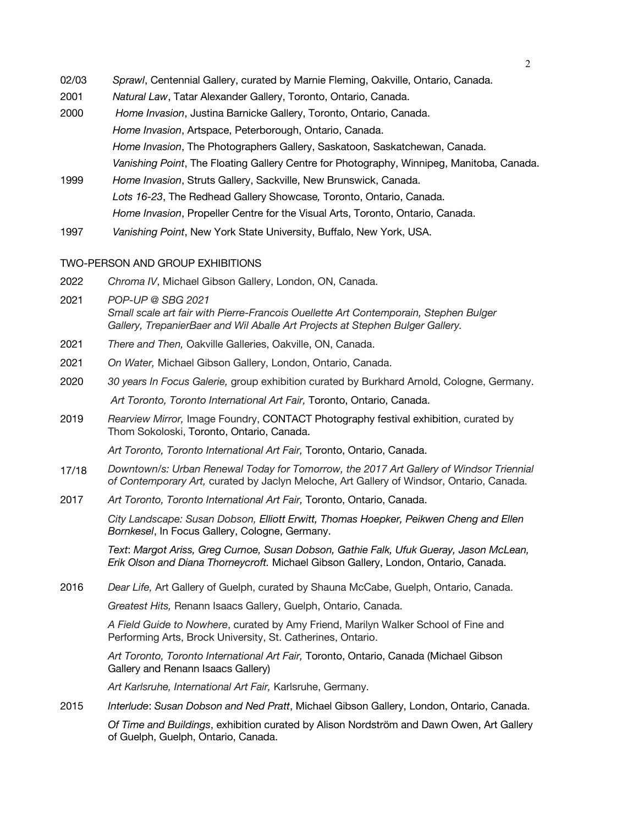- 02/03 *Sprawl*, Centennial Gallery, curated by Marnie Fleming, Oakville, Ontario, Canada.
- 2001 *Natural Law*, Tatar Alexander Gallery, Toronto, Ontario, Canada.
- 2000 *Home Invasion*, Justina Barnicke Gallery, Toronto, Ontario, Canada. *Home Invasion*, Artspace, Peterborough, Ontario, Canada. *Home Invasion*, The Photographers Gallery, Saskatoon, Saskatchewan, Canada. *Vanishing Point*, The Floating Gallery Centre for Photography, Winnipeg, Manitoba, Canada.
- 1999 *Home Invasion*, Struts Gallery, Sackville, New Brunswick, Canada. *Lots 16-23*, The Redhead Gallery Showcase*,* Toronto, Ontario, Canada. *Home Invasion*, Propeller Centre for the Visual Arts, Toronto, Ontario, Canada.
- 1997 *Vanishing Point*, New York State University, Buffalo, New York, USA.

### TWO-PERSON AND GROUP EXHIBITIONS

- 2022 *Chroma IV*, Michael Gibson Gallery, London, ON, Canada.
- 2021 *POP-UP @ SBG 2021 Small scale art fair with Pierre-Francois Ouellette Art Contemporain, Stephen Bulger Gallery, TrepanierBaer and Wil Aballe Art Projects at Stephen Bulger Gallery.*
- 2021 *There and Then,* Oakville Galleries, Oakville, ON, Canada.
- 2021 *On Water,* Michael Gibson Gallery, London, Ontario, Canada.
- 2020 *30 years In Focus Galerie,* group exhibition curated by Burkhard Arnold, Cologne, Germany. *Art Toronto, Toronto International Art Fair,* Toronto, Ontario, Canada.
- 2019 *Rearview Mirror,* Image Foundry, CONTACT Photography festival exhibition, curated by Thom Sokoloski, Toronto, Ontario, Canada.

*Art Toronto, Toronto International Art Fair,* Toronto, Ontario, Canada.

- 17/18 *Downtown/s: Urban Renewal Today for Tomorrow, the 2017 Art Gallery of Windsor Triennial of Contemporary Art,* curated by Jaclyn Meloche, Art Gallery of Windsor, Ontario, Canada.
- 2017 *Art Toronto, Toronto International Art Fair,* Toronto, Ontario, Canada.

*City Landscape: Susan Dobson, Elliott Erwitt, Thomas Hoepker, Peikwen Cheng and Ellen Bornkesel*, In Focus Gallery, Cologne, Germany.

*Text*: *Margot Ariss, Greg Curnoe, Susan Dobson, Gathie Falk, Ufuk Gueray, Jason McLean, Erik Olson and Diana Thorneycroft.* Michael Gibson Gallery, London, Ontario, Canada.

2016 *Dear Life,* Art Gallery of Guelph, curated by Shauna McCabe, Guelph, Ontario, Canada.

*Greatest Hits,* Renann Isaacs Gallery, Guelph, Ontario, Canada.

*A Field Guide to Nowhere*, curated by Amy Friend, Marilyn Walker School of Fine and Performing Arts, Brock University, St. Catherines, Ontario.

*Art Toronto, Toronto International Art Fair,* Toronto, Ontario, Canada (Michael Gibson Gallery and Renann Isaacs Gallery)

*Art Karlsruhe, International Art Fair,* Karlsruhe, Germany.

2015 *Interlude*: *Susan Dobson and Ned Pratt*, Michael Gibson Gallery, London, Ontario, Canada.

*Of Time and Buildings*, exhibition curated by Alison Nordström and Dawn Owen, Art Gallery of Guelph, Guelph, Ontario, Canada.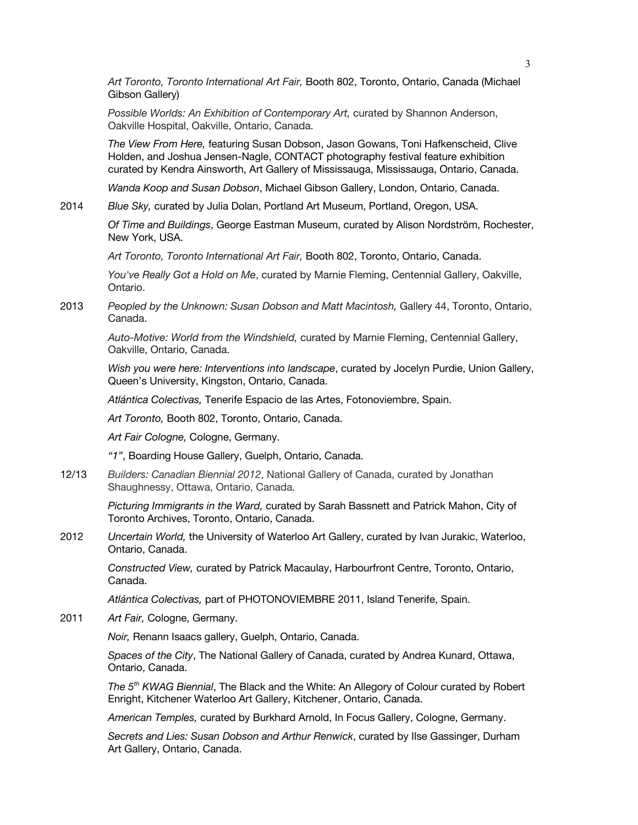*Art Toronto, Toronto International Art Fair,* Booth 802, Toronto, Ontario, Canada (Michael Gibson Gallery)

*Possible Worlds: An Exhibition of Contemporary Art,* curated by Shannon Anderson, Oakville Hospital, Oakville, Ontario, Canada.

*The View From Here,* featuring Susan Dobson, Jason Gowans, Toni Hafkenscheid, Clive Holden, and Joshua Jensen-Nagle, CONTACT photography festival feature exhibition curated by Kendra Ainsworth, Art Gallery of Mississauga, Mississauga, Ontario, Canada.

*Wanda Koop and Susan Dobson*, Michael Gibson Gallery, London, Ontario, Canada.

2014 *Blue Sky,* curated by Julia Dolan, Portland Art Museum, Portland, Oregon, USA.

*Of Time and Buildings*, George Eastman Museum, curated by Alison Nordström, Rochester, New York, USA.

*Art Toronto, Toronto International Art Fair,* Booth 802, Toronto, Ontario, Canada.

*You've Really Got a Hold on Me*, curated by Marnie Fleming, Centennial Gallery, Oakville, Ontario.

2013 *Peopled by the Unknown: Susan Dobson and Matt Macintosh,* Gallery 44, Toronto, Ontario, Canada.

> *Auto-Motive: World from the Windshield,* curated by Marnie Fleming, Centennial Gallery, Oakville, Ontario, Canada.

*Wish you were here: Interventions into landscape*, curated by Jocelyn Purdie, Union Gallery, Queen's University, Kingston, Ontario, Canada.

*Atlántica Colectivas,* Tenerife Espacio de las Artes, Fotonoviembre, Spain.

*Art Toronto,* Booth 802, Toronto, Ontario, Canada.

*Art Fair Cologne,* Cologne, Germany.

*"1"*, Boarding House Gallery, Guelph, Ontario, Canada.

12/13 *Builders: Canadian Biennial 2012*, National Gallery of Canada, curated by Jonathan Shaughnessy, Ottawa, Ontario, Canada.

> *Picturing Immigrants in the Ward,* curated by Sarah Bassnett and Patrick Mahon, City of Toronto Archives, Toronto, Ontario, Canada.

2012 *Uncertain World,* the University of Waterloo Art Gallery, curated by Ivan Jurakic, Waterloo, Ontario, Canada.

> *Constructed View,* curated by Patrick Macaulay, Harbourfront Centre, Toronto, Ontario, Canada.

*Atlántica Colectivas,* part of PHOTONOVIEMBRE 2011, Island Tenerife, Spain.

2011 *Art Fair,* Cologne, Germany.

*Noir,* Renann Isaacs gallery, Guelph, Ontario, Canada.

*Spaces of the City*, The National Gallery of Canada, curated by Andrea Kunard, Ottawa, Ontario, Canada.

*The 5th KWAG Biennial*, The Black and the White: An Allegory of Colour curated by Robert Enright, Kitchener Waterloo Art Gallery, Kitchener, Ontario, Canada.

*American Temples,* curated by Burkhard Arnold, In Focus Gallery, Cologne, Germany.

*Secrets and Lies: Susan Dobson and Arthur Renwick*, curated by Ilse Gassinger, Durham Art Gallery, Ontario, Canada.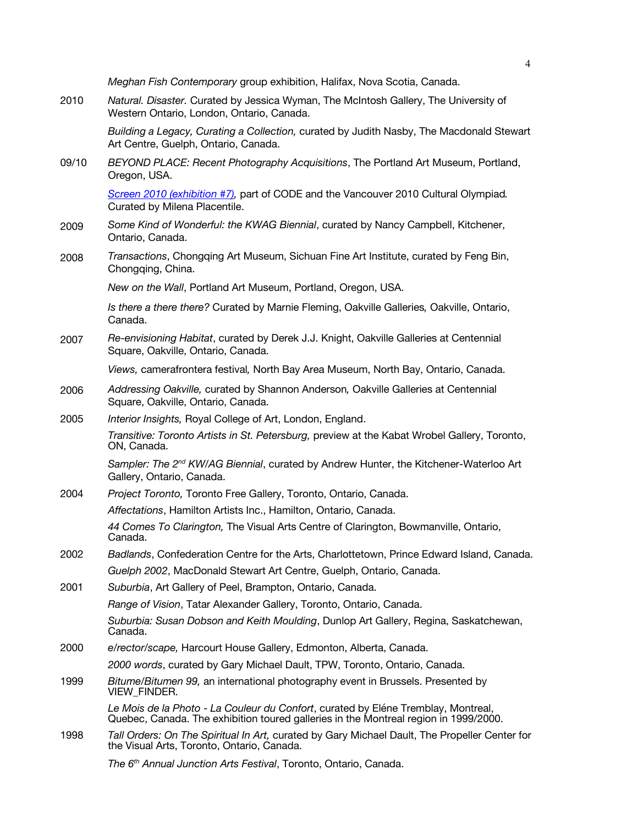*Meghan Fish Contemporary* group exhibition, Halifax, Nova Scotia, Canada.

2010 *Natural. Disaster.* Curated by Jessica Wyman, The McIntosh Gallery, The University of Western Ontario, London, Ontario, Canada.

> *Building a Legacy, Curating a Collection,* curated by Judith Nasby, The Macdonald Stewart Art Centre, Guelph, Ontario, Canada.

09/10 *BEYOND PLACE: Recent Photography Acquisitions*, The Portland Art Museum, Portland, Oregon, USA.

> *Screen 2010 (exhibition #7),* part of CODE and the Vancouver 2010 Cultural Olympiad*.*  Curated by Milena Placentile.

- 2009 *Some Kind of Wonderful: the KWAG Biennial*, curated by Nancy Campbell, Kitchener, Ontario, Canada.
- 2008 *Transactions*, Chongqing Art Museum, Sichuan Fine Art Institute, curated by Feng Bin, Chongqing, China.

*New on the Wall*, Portland Art Museum, Portland, Oregon, USA.

*Is there a there there?* Curated by Marnie Fleming, Oakville Galleries*,* Oakville, Ontario, Canada.

2007 *Re-envisioning Habitat*, curated by Derek J.J. Knight, Oakville Galleries at Centennial Square, Oakville, Ontario, Canada.

*Views,* camerafrontera festival*,* North Bay Area Museum, North Bay, Ontario, Canada.

- 2006 *Addressing Oakville,* curated by Shannon Anderson*,* Oakville Galleries at Centennial Square, Oakville, Ontario, Canada.
- 2005 *Interior Insights,* Royal College of Art, London, England. *Transitive: Toronto Artists in St. Petersburg,* preview at the Kabat Wrobel Gallery, Toronto, ON, Canada.

*Sampler: The 2nd KW/AG Biennial*, curated by Andrew Hunter, the Kitchener-Waterloo Art Gallery, Ontario, Canada.

2004 *Project Toronto,* Toronto Free Gallery, Toronto, Ontario, Canada.

*Affectations*, Hamilton Artists Inc., Hamilton, Ontario, Canada.

*44 Comes To Clarington,* The Visual Arts Centre of Clarington, Bowmanville, Ontario, Canada.

- 2002 *Badlands*, Confederation Centre for the Arts, Charlottetown, Prince Edward Island, Canada. *Guelph 2002*, MacDonald Stewart Art Centre, Guelph, Ontario, Canada.
- 2001 *Suburbia*, Art Gallery of Peel, Brampton, Ontario, Canada.

*Range of Vision*, Tatar Alexander Gallery, Toronto, Ontario, Canada.

*Suburbia: Susan Dobson and Keith Moulding*, Dunlop Art Gallery, Regina, Saskatchewan, Canada.

- 2000 *e/rector/scape,* Harcourt House Gallery, Edmonton, Alberta, Canada. *2000 words*, curated by Gary Michael Dault, TPW, Toronto, Ontario, Canada.
- 1999 *Bitume/Bitumen 99,* an international photography event in Brussels. Presented by VIEW\_FINDER.

*Le Mois de la Photo* - *La Couleur du Confort*, curated by Eléne Tremblay, Montreal, Quebec, Canada. The exhibition toured galleries in the Montreal region in 1999/2000.

1998 *Tall Orders: On The Spiritual In Art,* curated by Gary Michael Dault, The Propeller Center for the Visual Arts, Toronto, Ontario, Canada.

*The 6th Annual Junction Arts Festival*, Toronto, Ontario, Canada.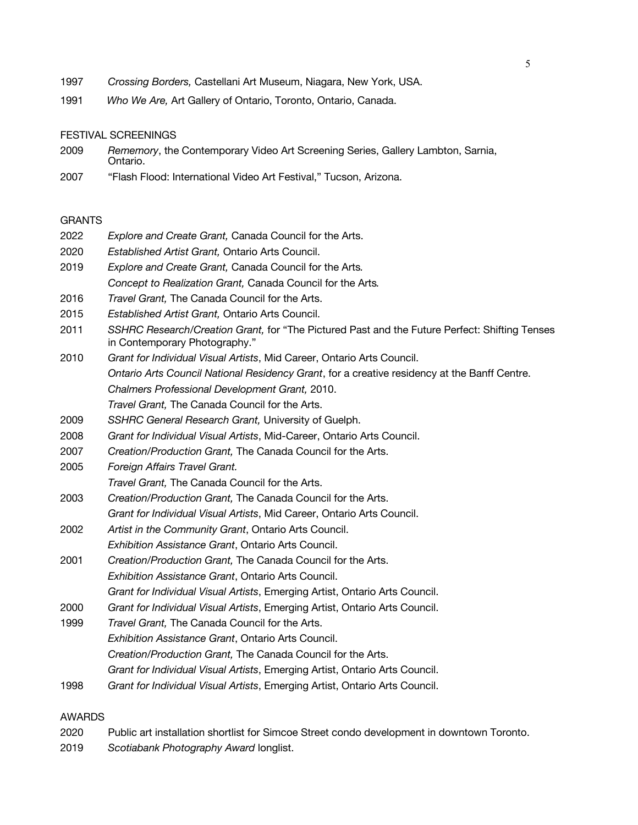- 1997 *Crossing Borders,* Castellani Art Museum, Niagara, New York, USA.
- 1991 *Who We Are,* Art Gallery of Ontario, Toronto, Ontario, Canada.

#### FESTIVAL SCREENINGS

- 2009 *Rememory*, the Contemporary Video Art Screening Series, Gallery Lambton, Sarnia, Ontario.
- 2007 "Flash Flood: International Video Art Festival," Tucson, Arizona.

#### **GRANTS**

- 2022 *Explore and Create Grant,* Canada Council for the Arts.
- 2020 *Established Artist Grant,* Ontario Arts Council.
- 2019 *Explore and Create Grant,* Canada Council for the Arts*. Concept to Realization Grant,* Canada Council for the Arts*.*
- 2016 *Travel Grant,* The Canada Council for the Arts.
- 2015 *Established Artist Grant,* Ontario Arts Council.
- 2011 *SSHRC Research/Creation Grant,* for "The Pictured Past and the Future Perfect: Shifting Tenses in Contemporary Photography."
- 2010 *Grant for Individual Visual Artists*, Mid Career, Ontario Arts Council. *Ontario Arts Council National Residency Grant*, for a creative residency at the Banff Centre. *Chalmers Professional Development Grant,* 2010. *Travel Grant,* The Canada Council for the Arts.
- 2009 *SSHRC General Research Grant,* University of Guelph.
- 2008 *Grant for Individual Visual Artists*, Mid-Career, Ontario Arts Council.
- 2007 *Creation/Production Grant,* The Canada Council for the Arts.
- 2005 *Foreign Affairs Travel Grant.*
	- *Travel Grant,* The Canada Council for the Arts.
- 2003 *Creation/Production Grant,* The Canada Council for the Arts. *Grant for Individual Visual Artists*, Mid Career, Ontario Arts Council.
- 2002 *Artist in the Community Grant*, Ontario Arts Council. *Exhibition Assistance Grant*, Ontario Arts Council.
- 2001 *Creation/Production Grant,* The Canada Council for the Arts. *Exhibition Assistance Grant*, Ontario Arts Council. *Grant for Individual Visual Artists*, Emerging Artist, Ontario Arts Council.
- 2000 *Grant for Individual Visual Artists*, Emerging Artist, Ontario Arts Council.
- 1999 *Travel Grant,* The Canada Council for the Arts. *Exhibition Assistance Grant*, Ontario Arts Council. *Creation/Production Grant,* The Canada Council for the Arts. *Grant for Individual Visual Artists*, Emerging Artist, Ontario Arts Council.
- 1998 *Grant for Individual Visual Artists*, Emerging Artist, Ontario Arts Council.

### AWARDS

- 2020 Public art installation shortlist for Simcoe Street condo development in downtown Toronto.
- 2019 *Scotiabank Photography Award* longlist.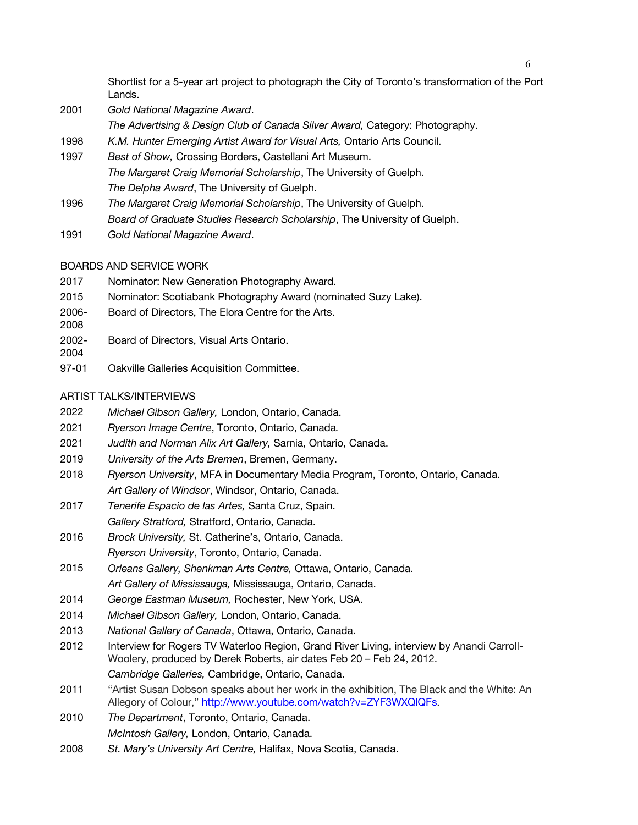Shortlist for a 5-year art project to photograph the City of Toronto's transformation of the Port Lands.

- 2001 *Gold National Magazine Award*. *The Advertising & Design Club of Canada Silver Award,* Category: Photography.
- 1998 *K.M. Hunter Emerging Artist Award for Visual Arts,* Ontario Arts Council.
- 1997 *Best of Show,* Crossing Borders, Castellani Art Museum. *The Margaret Craig Memorial Scholarship*, The University of Guelph. *The Delpha Award*, The University of Guelph.
- 1996 *The Margaret Craig Memorial Scholarship*, The University of Guelph. *Board of Graduate Studies Research Scholarship*, The University of Guelph.
- 1991 *Gold National Magazine Award*.

# BOARDS AND SERVICE WORK

- 2017 Nominator: New Generation Photography Award.
- 2015 Nominator: Scotiabank Photography Award (nominated Suzy Lake).
- 2006- Board of Directors, The Elora Centre for the Arts.
- 2008
- 2002- Board of Directors, Visual Arts Ontario.
- 2004
- 97-01 Oakville Galleries Acquisition Committee.

# ARTIST TALKS/INTERVIEWS

- 2022 *Michael Gibson Gallery,* London, Ontario, Canada.
- 2021 *Ryerson Image Centre*, Toronto, Ontario, Canada*.*
- 2021 *Judith and Norman Alix Art Gallery,* Sarnia, Ontario, Canada.
- 2019 *University of the Arts Bremen*, Bremen, Germany.
- 2018 *Ryerson University*, MFA in Documentary Media Program, Toronto, Ontario, Canada. *Art Gallery of Windsor*, Windsor, Ontario, Canada.
- 2017 *Tenerife Espacio de las Artes,* Santa Cruz, Spain. *Gallery Stratford,* Stratford, Ontario, Canada.
- 2016 *Brock University,* St. Catherine's, Ontario, Canada. *Ryerson University*, Toronto, Ontario, Canada.
- 2015 *Orleans Gallery, Shenkman Arts Centre,* Ottawa, Ontario, Canada. *Art Gallery of Mississauga,* Mississauga, Ontario, Canada.
- 2014 *George Eastman Museum,* Rochester, New York, USA.
- 2014 *Michael Gibson Gallery,* London, Ontario, Canada.
- 2013 *National Gallery of Canada*, Ottawa, Ontario, Canada.
- 2012 Interview for Rogers TV Waterloo Region, Grand River Living, interview by Anandi Carroll-Woolery, produced by Derek Roberts, air dates Feb 20 – Feb 24, 2012. *Cambridge Galleries,* Cambridge, Ontario, Canada.
- 2011 "Artist Susan Dobson speaks about her work in the exhibition, The Black and the White: An Allegory of Colour," http://www.youtube.com/watch?v=ZYF3WXQlQFs.
- 2010 *The Department*, Toronto, Ontario, Canada. *McIntosh Gallery,* London, Ontario, Canada.
- 2008 *St. Mary's University Art Centre,* Halifax, Nova Scotia, Canada.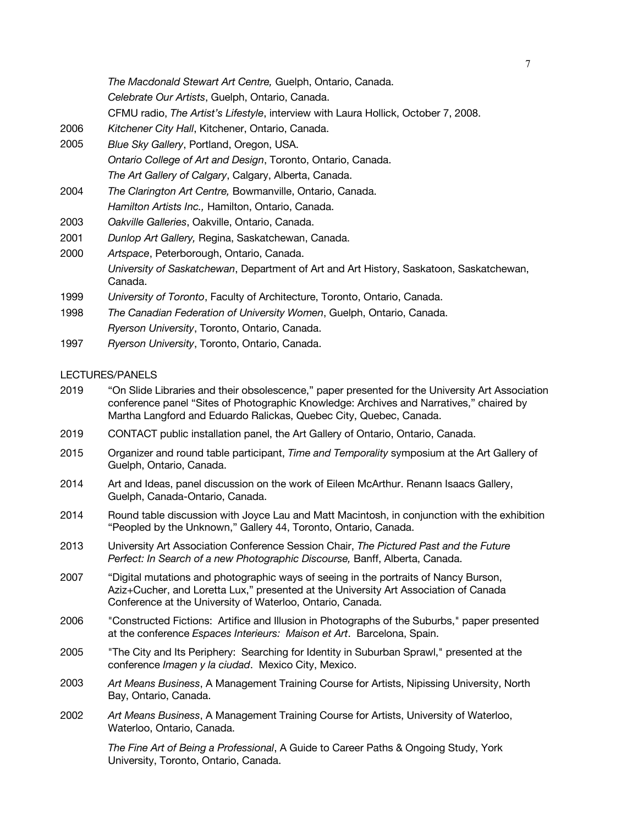- 2006 *Kitchener City Hall*, Kitchener, Ontario, Canada.
- 2005 *Blue Sky Gallery*, Portland, Oregon, USA. *Ontario College of Art and Design*, Toronto, Ontario, Canada. *The Art Gallery of Calgary*, Calgary, Alberta, Canada.
- 2004 *The Clarington Art Centre,* Bowmanville, Ontario, Canada. *Hamilton Artists Inc.,* Hamilton, Ontario, Canada.
- 2003 *Oakville Galleries*, Oakville, Ontario, Canada.
- 2001 *Dunlop Art Gallery,* Regina, Saskatchewan, Canada.
- 2000 *Artspace*, Peterborough, Ontario, Canada. *University of Saskatchewan*, Department of Art and Art History, Saskatoon, Saskatchewan, Canada.
- 1999 *University of Toronto*, Faculty of Architecture, Toronto, Ontario, Canada.
- 1998 *The Canadian Federation of University Women*, Guelph, Ontario, Canada. *Ryerson University*, Toronto, Ontario, Canada.
- 1997 *Ryerson University*, Toronto, Ontario, Canada.

### LECTURES/PANELS

- 2019 "On Slide Libraries and their obsolescence," paper presented for the University Art Association conference panel "Sites of Photographic Knowledge: Archives and Narratives," chaired by Martha Langford and Eduardo Ralickas, Quebec City, Quebec, Canada.
- 2019 CONTACT public installation panel, the Art Gallery of Ontario, Ontario, Canada.
- 2015 Organizer and round table participant, *Time and Temporality* symposium at the Art Gallery of Guelph, Ontario, Canada.
- 2014 Art and Ideas, panel discussion on the work of Eileen McArthur. Renann Isaacs Gallery, Guelph, Canada-Ontario, Canada.
- 2014 Round table discussion with Joyce Lau and Matt Macintosh, in conjunction with the exhibition "Peopled by the Unknown," Gallery 44, Toronto, Ontario, Canada.
- 2013 University Art Association Conference Session Chair, *The Pictured Past and the Future Perfect: In Search of a new Photographic Discourse,* Banff, Alberta, Canada.
- 2007 "Digital mutations and photographic ways of seeing in the portraits of Nancy Burson, Aziz+Cucher, and Loretta Lux," presented at the University Art Association of Canada Conference at the University of Waterloo, Ontario, Canada.
- 2006 "Constructed Fictions: Artifice and Illusion in Photographs of the Suburbs," paper presented at the conference *Espaces Interieurs: Maison et Art*. Barcelona, Spain.
- 2005 "The City and Its Periphery: Searching for Identity in Suburban Sprawl," presented at the conference *Imagen y la ciudad*. Mexico City, Mexico.
- 2003 *Art Means Business*, A Management Training Course for Artists, Nipissing University, North Bay, Ontario, Canada.
- 2002 *Art Means Business*, A Management Training Course for Artists, University of Waterloo, Waterloo, Ontario, Canada.

*The Fine Art of Being a Professional*, A Guide to Career Paths & Ongoing Study, York University, Toronto, Ontario, Canada.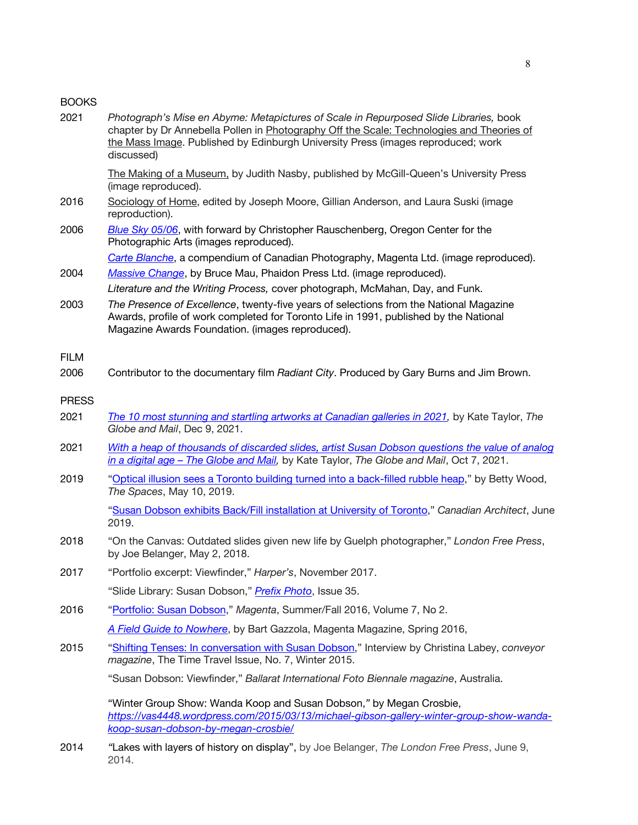### BOOKS

| 2021         | Photograph's Mise en Abyme: Metapictures of Scale in Repurposed Slide Libraries, book<br>chapter by Dr Annebella Pollen in Photography Off the Scale: Technologies and Theories of<br>the Mass Image. Published by Edinburgh University Press (images reproduced; work<br>discussed) |
|--------------|--------------------------------------------------------------------------------------------------------------------------------------------------------------------------------------------------------------------------------------------------------------------------------------|
|              | The Making of a Museum, by Judith Nasby, published by McGill-Queen's University Press<br>(image reproduced).                                                                                                                                                                         |
| 2016         | Sociology of Home, edited by Joseph Moore, Gillian Anderson, and Laura Suski (image<br>reproduction).                                                                                                                                                                                |
| 2006         | Blue Sky 05/06, with forward by Christopher Rauschenberg, Oregon Center for the<br>Photographic Arts (images reproduced).                                                                                                                                                            |
|              | Carte Blanche, a compendium of Canadian Photography, Magenta Ltd. (image reproduced).                                                                                                                                                                                                |
| 2004         | Massive Change, by Bruce Mau, Phaidon Press Ltd. (image reproduced).                                                                                                                                                                                                                 |
|              | Literature and the Writing Process, cover photograph, McMahan, Day, and Funk.                                                                                                                                                                                                        |
| 2003         | The Presence of Excellence, twenty-five years of selections from the National Magazine<br>Awards, profile of work completed for Toronto Life in 1991, published by the National<br>Magazine Awards Foundation. (images reproduced).                                                  |
| <b>FILM</b>  |                                                                                                                                                                                                                                                                                      |
| 2006         | Contributor to the documentary film Radiant City. Produced by Gary Burns and Jim Brown.                                                                                                                                                                                              |
| <b>PRESS</b> |                                                                                                                                                                                                                                                                                      |
| 2021         | The 10 most stunning and startling artworks at Canadian galleries in 2021, by Kate Taylor, The<br>Globe and Mail, Dec 9, 2021.                                                                                                                                                       |
| 2021         | With a heap of thousands of discarded slides, artist Susan Dobson questions the value of analog<br>in a digital age - The Globe and Mail, by Kate Taylor, The Globe and Mail, Oct 7, 2021.                                                                                           |
| 2019         | "Optical illusion sees a Toronto building turned into a back-filled rubble heap," by Betty Wood,<br>The Spaces, May 10, 2019.                                                                                                                                                        |
|              | "Susan Dobson exhibits Back/Fill installation at University of Toronto," Canadian Architect, June<br>2019.                                                                                                                                                                           |
| 2018         | "On the Canvas: Outdated slides given new life by Guelph photographer," London Free Press,<br>by Joe Belanger, May 2, 2018.                                                                                                                                                          |
| 2017         | "Portfolio excerpt: Viewfinder," Harper's, November 2017.                                                                                                                                                                                                                            |
|              | "Slide Library: Susan Dobson," Prefix Photo, Issue 35.                                                                                                                                                                                                                               |
| 2016         | "Portfolio: Susan Dobson," Magenta, Summer/Fall 2016, Volume 7, No 2.                                                                                                                                                                                                                |
|              | A Field Guide to Nowhere, by Bart Gazzola, Magenta Magazine, Spring 2016,                                                                                                                                                                                                            |
| 2015         | "Shifting Tenses: In conversation with Susan Dobson," Interview by Christina Labey, conveyor<br>magazine, The Time Travel Issue, No. 7, Winter 2015.                                                                                                                                 |
|              | "Susan Dobson: Viewfinder," Ballarat International Foto Biennale magazine, Australia.                                                                                                                                                                                                |
|              | "Winter Group Show: Wanda Koop and Susan Dobson," by Megan Crosbie,<br>https://vas4448.wordpress.com/2015/03/13/michael-gibson-gallery-winter-group-show-wanda-<br>koop-susan-dobson-by-megan-crosbie/                                                                               |
| 0011         | "I also with layers of biotoms on display" by Joe Polenaer. The Landen Ereo Press, June 0                                                                                                                                                                                            |

2014 *"*Lakes with layers of history on display", by Joe Belanger, *The London Free Press*, June 9, 2014.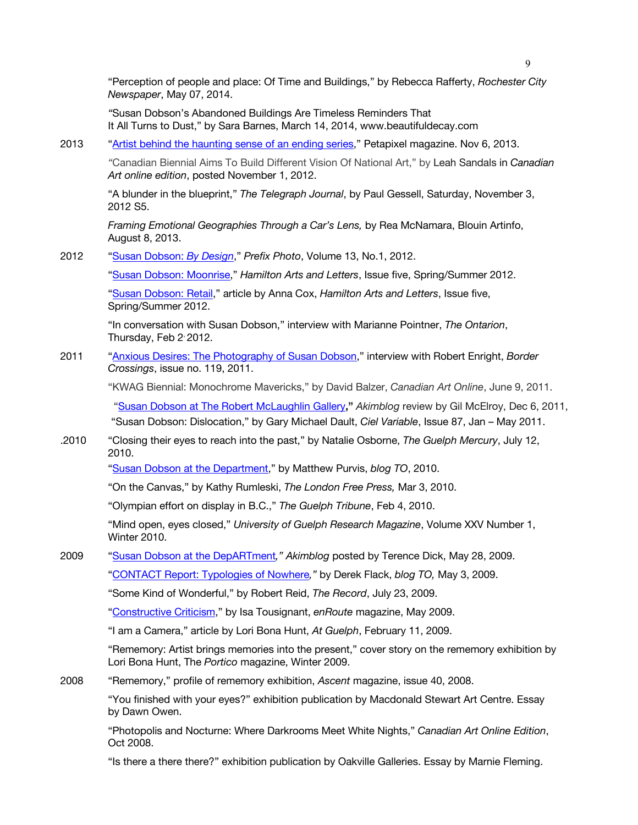"Perception of people and place: Of Time and Buildings," by Rebecca Rafferty, *Rochester City Newspaper*, May 07, 2014.

*"*Susan Dobson's Abandoned Buildings Are Timeless Reminders That It All Turns to Dust," by Sara Barnes, March 14, 2014, www.beautifuldecay.com

2013 "Artist behind the haunting sense of an ending series," Petapixel magazine. Nov 6, 2013.

*"*Canadian Biennial Aims To Build Different Vision Of National Art," by Leah Sandals in *Canadian Art online edition*, posted November 1, 2012.

"A blunder in the blueprint," *The Telegraph Journal*, by Paul Gessell, Saturday, November 3, 2012 S5.

*Framing Emotional Geographies Through a Car's Lens,* by Rea McNamara, Blouin Artinfo, August 8, 2013.

2012 "Susan Dobson: *By Design*," *Prefix Photo*, Volume 13, No.1, 2012.

"Susan Dobson: Moonrise," *Hamilton Arts and Letters*, Issue five, Spring/Summer 2012.

"Susan Dobson: Retail," article by Anna Cox, *Hamilton Arts and Letters*, Issue five, Spring/Summer 2012.

"In conversation with Susan Dobson," interview with Marianne Pointner, *The Ontarion*, Thursday, Feb 2<sup>,</sup> 2012.

2011 "Anxious Desires: The Photography of Susan Dobson," interview with Robert Enright, *Border Crossings*, issue no. 119, 2011.

"KWAG Biennial: Monochrome Mavericks," by David Balzer, *Canadian Art Online*, June 9, 2011.

"Susan Dobson at The Robert McLaughlin Gallery**,"** *Akimblog* review by Gil McElroy, Dec 6, 2011, "Susan Dobson: Dislocation," by Gary Michael Dault, *Ciel Variable*, Issue 87, Jan – May 2011.

.2010 "Closing their eyes to reach into the past," by Natalie Osborne, *The Guelph Mercury*, July 12, 2010.

"Susan Dobson at the Department," by Matthew Purvis, *blog TO*, 2010.

"On the Canvas," by Kathy Rumleski, *The London Free Press,* Mar 3, 2010.

"Olympian effort on display in B.C.," *The Guelph Tribune*, Feb 4, 2010.

"Mind open, eyes closed," *University of Guelph Research Magazine*, Volume XXV Number 1, Winter 2010.

2009 "Susan Dobson at the DepARTment*," Akimblog* posted by Terence Dick, May 28, 2009.

"CONTACT Report: Typologies of Nowhere*,"* by Derek Flack, *blog TO,* May 3, 2009.

"Some Kind of Wonderful," by Robert Reid, *The Record*, July 23, 2009.

"Constructive Criticism," by Isa Tousignant, *enRoute* magazine, May 2009.

"I am a Camera," article by Lori Bona Hunt, *At Guelph*, February 11, 2009.

"Rememory: Artist brings memories into the present," cover story on the rememory exhibition by Lori Bona Hunt, The *Portico* magazine, Winter 2009.

2008 "Rememory," profile of rememory exhibition, *Ascent* magazine, issue 40, 2008.

"You finished with your eyes?" exhibition publication by Macdonald Stewart Art Centre. Essay by Dawn Owen.

"Photopolis and Nocturne: Where Darkrooms Meet White Nights," *Canadian Art Online Edition*, Oct 2008.

"Is there a there there?" exhibition publication by Oakville Galleries. Essay by Marnie Fleming.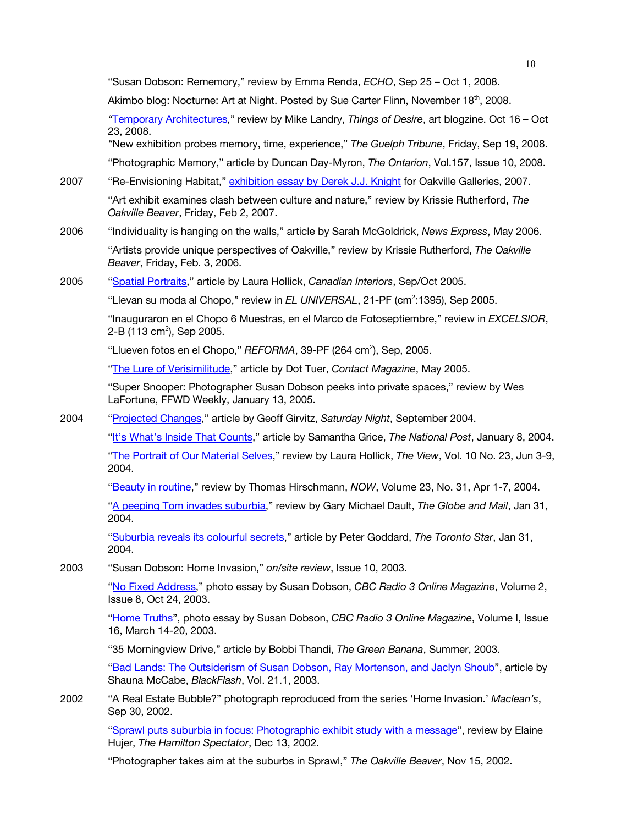"Susan Dobson: Rememory," review by Emma Renda, *ECHO*, Sep 25 – Oct 1, 2008. Akimbo blog: Nocturne: Art at Night. Posted by Sue Carter Flinn, November 18<sup>th</sup>, 2008. *"*Temporary Architectures," review by Mike Landry, *Things of Desire*, art blogzine. Oct 16 – Oct 23, 2008. *"*New exhibition probes memory, time, experience," *The Guelph Tribune*, Friday, Sep 19, 2008. "Photographic Memory," article by Duncan Day-Myron, *The Ontarion*, Vol.157, Issue 10, 2008. 2007 "Re-Envisioning Habitat," exhibition essay by Derek J.J. Knight for Oakville Galleries, 2007. "Art exhibit examines clash between culture and nature," review by Krissie Rutherford, *The Oakville Beaver*, Friday, Feb 2, 2007. 2006 "Individuality is hanging on the walls," article by Sarah McGoldrick, *News Express*, May 2006. "Artists provide unique perspectives of Oakville," review by Krissie Rutherford, *The Oakville Beaver*, Friday, Feb. 3, 2006. 2005 "Spatial Portraits," article by Laura Hollick, *Canadian Interiors*, Sep/Oct 2005. "Llevan su moda al Chopo," review in *EL UNIVERSAL*, 21-PF (cm<sup>2</sup>:1395), Sep 2005. "Inauguraron en el Chopo 6 Muestras, en el Marco de Fotoseptiembre," review in *EXCELSIOR*, 2-B (113 cm<sup>2</sup>), Sep 2005. "Llueven fotos en el Chopo," REFORMA, 39-PF (264 cm<sup>2</sup>), Sep, 2005. "The Lure of Verisimilitude," article by Dot Tuer, *Contact Magazine*, May 2005. "Super Snooper: Photographer Susan Dobson peeks into private spaces," review by Wes LaFortune, FFWD Weekly, January 13, 2005. 2004 "Projected Changes," article by Geoff Girvitz, *Saturday Night*, September 2004. "It's What's Inside That Counts," article by Samantha Grice, *The National Post*, January 8, 2004. "The Portrait of Our Material Selves," review by Laura Hollick, *The View*, Vol. 10 No. 23, Jun 3-9, 2004. "Beauty in routine," review by Thomas Hirschmann, *NOW*, Volume 23, No. 31, Apr 1-7, 2004. "A peeping Tom invades suburbia," review by Gary Michael Dault, *The Globe and Mail*, Jan 31, 2004. "Suburbia reveals its colourful secrets," article by Peter Goddard, *The Toronto Star*, Jan 31, 2004. 2003 "Susan Dobson: Home Invasion," *on/site review*, Issue 10, 2003. "No Fixed Address," photo essay by Susan Dobson, *CBC Radio 3 Online Magazine*, Volume 2, Issue 8, Oct 24, 2003. "Home Truths", photo essay by Susan Dobson, *CBC Radio 3 Online Magazine*, Volume I, Issue 16, March 14-20, 2003. "35 Morningview Drive," article by Bobbi Thandi, *The Green Banana*, Summer, 2003. "Bad Lands: The Outsiderism of Susan Dobson, Ray Mortenson, and Jaclyn Shoub", article by Shauna McCabe, *BlackFlash*, Vol. 21.1, 2003. 2002 "A Real Estate Bubble?" photograph reproduced from the series 'Home Invasion.' *Maclean's*, Sep 30, 2002. "Sprawl puts suburbia in focus: Photographic exhibit study with a message", review by Elaine Hujer, *The Hamilton Spectator*, Dec 13, 2002.

"Photographer takes aim at the suburbs in Sprawl," *The Oakville Beaver*, Nov 15, 2002.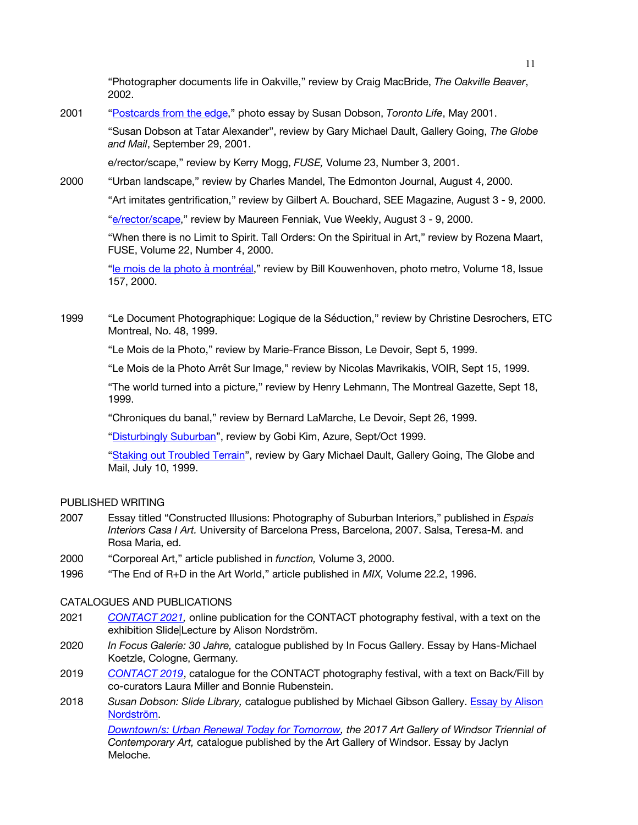"Photographer documents life in Oakville," review by Craig MacBride, *The Oakville Beaver*, 2002.

2001 "Postcards from the edge," photo essay by Susan Dobson, *Toronto Life*, May 2001.

"Susan Dobson at Tatar Alexander", review by Gary Michael Dault, Gallery Going, *The Globe and Mail*, September 29, 2001.

e/rector/scape," review by Kerry Mogg, *FUSE,* Volume 23, Number 3, 2001.

2000 "Urban landscape," review by Charles Mandel, The Edmonton Journal, August 4, 2000.

"Art imitates gentrification," review by Gilbert A. Bouchard, SEE Magazine, August 3 - 9, 2000.

"e/rector/scape," review by Maureen Fenniak, Vue Weekly, August 3 - 9, 2000.

"When there is no Limit to Spirit. Tall Orders: On the Spiritual in Art," review by Rozena Maart, FUSE, Volume 22, Number 4, 2000.

"le mois de la photo à montréal," review by Bill Kouwenhoven, photo metro, Volume 18, Issue 157, 2000.

1999 "Le Document Photographique: Logique de la Séduction," review by Christine Desrochers, ETC Montreal, No. 48, 1999.

"Le Mois de la Photo," review by Marie-France Bisson, Le Devoir, Sept 5, 1999.

"Le Mois de la Photo Arrêt Sur Image," review by Nicolas Mavrikakis, VOIR, Sept 15, 1999.

"The world turned into a picture," review by Henry Lehmann, The Montreal Gazette, Sept 18, 1999.

"Chroniques du banal," review by Bernard LaMarche, Le Devoir, Sept 26, 1999.

"Disturbingly Suburban", review by Gobi Kim, Azure, Sept/Oct 1999.

"Staking out Troubled Terrain", review by Gary Michael Dault, Gallery Going, The Globe and Mail, July 10, 1999.

## PUBLISHED WRITING

- 2007 Essay titled "Constructed Illusions: Photography of Suburban Interiors," published in *Espais Interiors Casa I Art.* University of Barcelona Press, Barcelona, 2007. Salsa, Teresa-M. and Rosa Maria, ed.
- 2000 "Corporeal Art," article published in *function,* Volume 3, 2000.
- 1996 "The End of R+D in the Art World," article published in *MIX,* Volume 22.2, 1996.

## CATALOGUES AND PUBLICATIONS

- 2021 *CONTACT 2021,* online publication for the CONTACT photography festival, with a text on the exhibition Slide|Lecture by Alison Nordström.
- 2020 *In Focus Galerie: 30 Jahre,* catalogue published by In Focus Gallery. Essay by Hans-Michael Koetzle, Cologne, Germany*.*
- 2019 *CONTACT 2019*, catalogue for the CONTACT photography festival, with a text on Back/Fill by co-curators Laura Miller and Bonnie Rubenstein.
- 2018 *Susan Dobson: Slide Library,* catalogue published by Michael Gibson Gallery. Essay by Alison Nordström.

*Downtown/s: Urban Renewal Today for Tomorrow, the 2017 Art Gallery of Windsor Triennial of Contemporary Art,* catalogue published by the Art Gallery of Windsor. Essay by Jaclyn Meloche.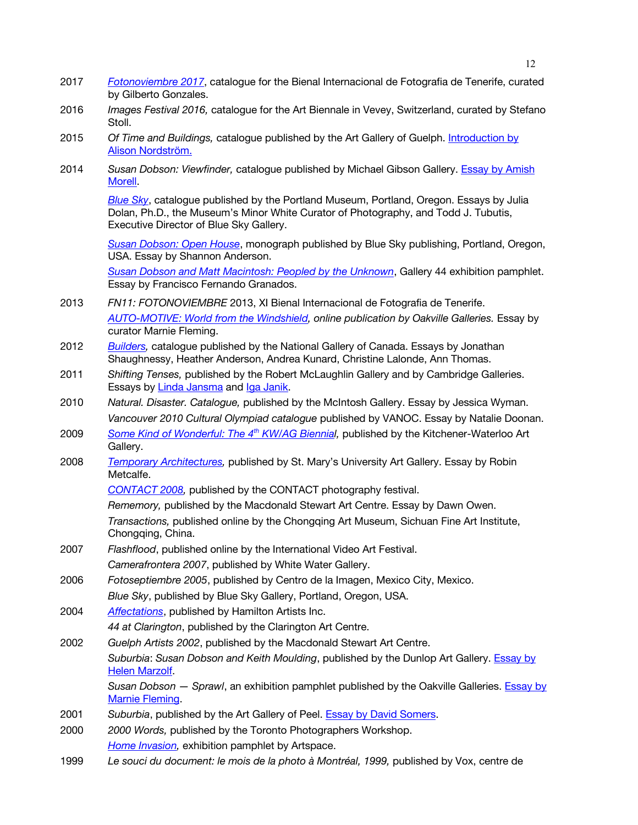- 2017 *Fotonoviembre 2017*, catalogue for the Bienal Internacional de Fotografia de Tenerife, curated by Gilberto Gonzales.
- 2016 *Images Festival 2016,* catalogue for the Art Biennale in Vevey, Switzerland, curated by Stefano Stoll.
- 2015 *Of Time and Buildings,* catalogue published by the Art Gallery of Guelph. Introduction by Alison Nordström.
- 2014 *Susan Dobson: Viewfinder,* catalogue published by Michael Gibson Gallery. Essay by Amish **Morell**

*Blue Sky*, catalogue published by the Portland Museum, Portland, Oregon. Essays by Julia Dolan, Ph.D., the Museum's Minor White Curator of Photography, and Todd J. Tubutis, Executive Director of Blue Sky Gallery.

*Susan Dobson: Open House*, monograph published by Blue Sky publishing, Portland, Oregon, USA. Essay by Shannon Anderson.

*Susan Dobson and Matt Macintosh: Peopled by the Unknown*, Gallery 44 exhibition pamphlet. Essay by Francisco Fernando Granados.

- 2013 *FN11: FOTONOVIEMBRE* 2013, XI Bienal Internacional de Fotografia de Tenerife. *AUTO-MOTIVE: World from the Windshield, online publication by Oakville Galleries.* Essay by curator Marnie Fleming.
- 2012 *Builders,* catalogue published by the National Gallery of Canada. Essays by Jonathan Shaughnessy, Heather Anderson, Andrea Kunard, Christine Lalonde, Ann Thomas.
- 2011 *Shifting Tenses,* published by the Robert McLaughlin Gallery and by Cambridge Galleries. Essays by Linda Jansma and Iga Janik.
- 2010 *Natural. Disaster. Catalogue,* published by the McIntosh Gallery. Essay by Jessica Wyman. *Vancouver 2010 Cultural Olympiad catalogue* published by VANOC. Essay by Natalie Doonan.
- 2009 *Some Kind of Wonderful: The 4th KW/AG Biennial,* published by the Kitchener-Waterloo Art Gallery.
- 2008 *Temporary Architectures,* published by St. Mary's University Art Gallery. Essay by Robin Metcalfe.

*CONTACT 2008,* published by the CONTACT photography festival.

*Rememory,* published by the Macdonald Stewart Art Centre. Essay by Dawn Owen.

*Transactions,* published online by the Chongqing Art Museum, Sichuan Fine Art Institute, Chongqing, China.

- 2007 *Flashflood*, published online by the International Video Art Festival. *Camerafrontera 2007*, published by White Water Gallery.
- 2006 *Fotoseptiembre 2005*, published by Centro de la Imagen, Mexico City, Mexico. *Blue Sky*, published by Blue Sky Gallery, Portland, Oregon, USA.
- 2004 *Affectations*, published by Hamilton Artists Inc. *44 at Clarington*, published by the Clarington Art Centre.
- 2002 *Guelph Artists 2002*, published by the Macdonald Stewart Art Centre. *Suburbia*: *Susan Dobson and Keith Moulding*, published by the Dunlop Art Gallery. Essay by Helen Marzolf.

*Susan Dobson — Sprawl*, an exhibition pamphlet published by the Oakville Galleries. Essay by Marnie Fleming.

- 2001 *Suburbia*, published by the Art Gallery of Peel. Essay by David Somers.
- 2000 *2000 Words,* published by the Toronto Photographers Workshop. *Home Invasion,* exhibition pamphlet by Artspace.
- 1999 *Le souci du document: le mois de la photo à Montréal, 1999,* published by Vox, centre de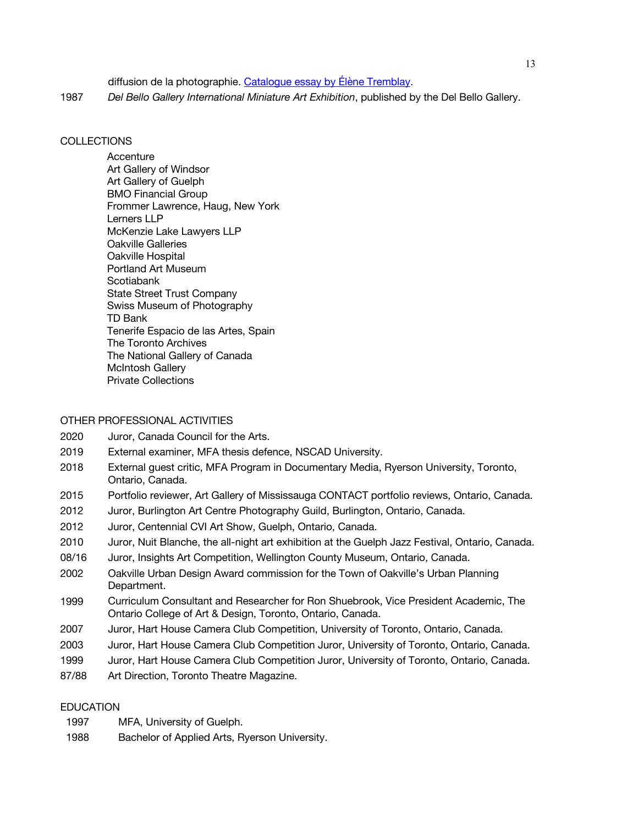diffusion de la photographie. Catalogue essay by Élène Tremblay.

1987 *Del Bello Gallery International Miniature Art Exhibition*, published by the Del Bello Gallery.

### **COLLECTIONS**

**Accenture** Art Gallery of Windsor Art Gallery of Guelph BMO Financial Group Frommer Lawrence, Haug, New York Lerners LLP McKenzie Lake Lawyers LLP Oakville Galleries Oakville Hospital Portland Art Museum Scotiabank State Street Trust Company Swiss Museum of Photography TD Bank Tenerife Espacio de las Artes, Spain The Toronto Archives The National Gallery of Canada McIntosh Gallery Private Collections

## OTHER PROFESSIONAL ACTIVITIES

- 2020 Juror, Canada Council for the Arts.
- 2019 External examiner, MFA thesis defence, NSCAD University.
- 2018 External guest critic, MFA Program in Documentary Media, Ryerson University, Toronto, Ontario, Canada.
- 2015 Portfolio reviewer, Art Gallery of Mississauga CONTACT portfolio reviews, Ontario, Canada.
- 2012 Juror, Burlington Art Centre Photography Guild, Burlington, Ontario, Canada.
- 2012 Juror, Centennial CVI Art Show, Guelph, Ontario, Canada.
- 2010 Juror, Nuit Blanche, the all-night art exhibition at the Guelph Jazz Festival, Ontario, Canada.
- 08/16 Juror, Insights Art Competition, Wellington County Museum, Ontario, Canada.
- 2002 Oakville Urban Design Award commission for the Town of Oakville's Urban Planning Department.
- 1999 Curriculum Consultant and Researcher for Ron Shuebrook, Vice President Academic, The Ontario College of Art & Design, Toronto, Ontario, Canada.
- 2007 Juror, Hart House Camera Club Competition, University of Toronto, Ontario, Canada.
- 2003 Juror, Hart House Camera Club Competition Juror, University of Toronto, Ontario, Canada.
- 1999 Juror, Hart House Camera Club Competition Juror, University of Toronto, Ontario, Canada.
- 87/88 Art Direction, Toronto Theatre Magazine.

## EDUCATION

- 1997 MFA, University of Guelph.
- 1988 Bachelor of Applied Arts, Ryerson University.